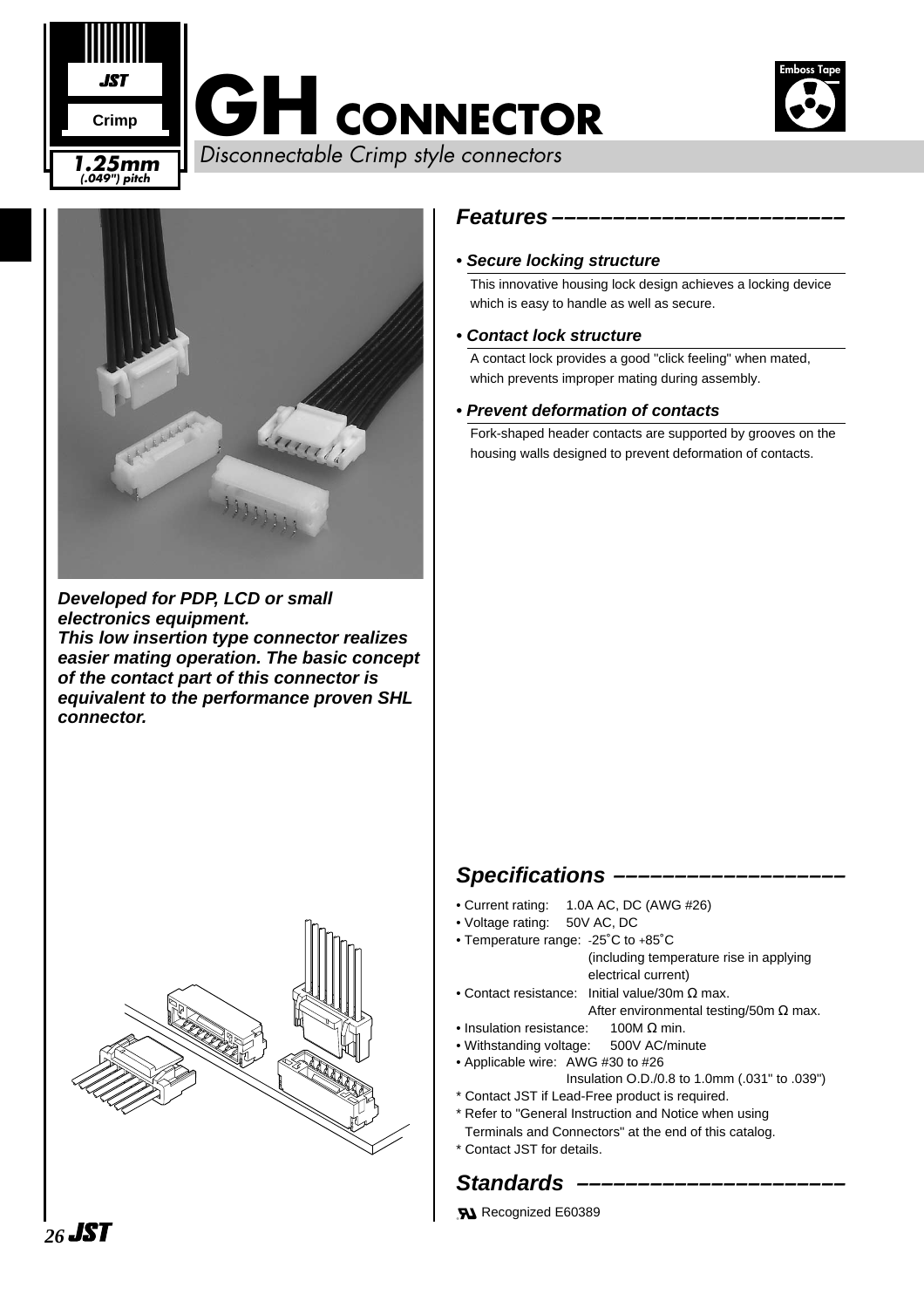



**Developed for PDP, LCD or small electronics equipment. This low insertion type connector realizes easier mating operation. The basic concept of the contact part of this connector is equivalent to the performance proven SHL connector.**



#### **Features ––––––––––––––––––––––––**

#### **• Secure locking structure**

This innovative housing lock design achieves a locking device which is easy to handle as well as secure.

#### **• Contact lock structure**

A contact lock provides a good "click feeling" when mated, which prevents improper mating during assembly.

#### **• Prevent deformation of contacts**

Fork-shaped header contacts are supported by grooves on the housing walls designed to prevent deformation of contacts.

#### Specifications –

- Current rating: 1.0A AC, DC (AWG #26)
- Voltage rating: 50V AC, DC
- Temperature range: -25˚C to +85˚C (including temperature rise in applying
- electrical current) • Contact resistance: Initial value/30m Ω max.
	- After environmental testing/50m Ω max.
- Insulation resistance:  $100M \Omega$  min.
- Withstanding voltage: 500V AC/minute
- Applicable wire: AWG #30 to #26 Insulation O.D./0.8 to 1.0mm (.031" to .039")
- \* Contact JST if Lead-Free product is required.
- \* Refer to "General Instruction and Notice when using Terminals and Connectors" at the end of this catalog.
- \* Contact JST for details.

### **Standards**

**51** Recognized E60389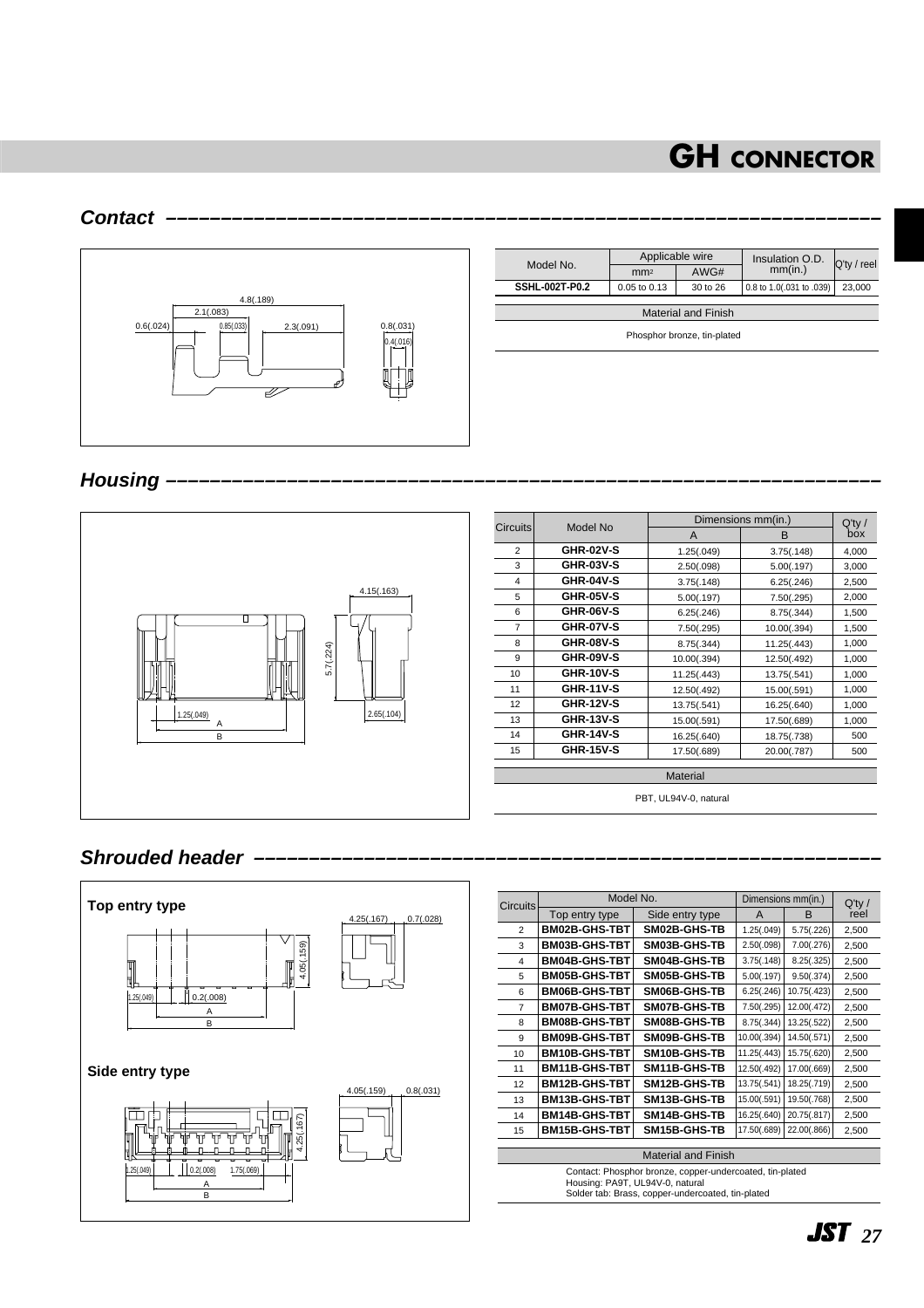#### **Contact –––––––––––––––––––––––––––––––––––––––––––––––––––––––––––––––––**



|                            |                             | Applicable wire | Insulation O.D.          | $Q'$ ty / reel |  |  |
|----------------------------|-----------------------------|-----------------|--------------------------|----------------|--|--|
| Model No.                  | mm <sup>2</sup>             | AWG#            | mm(in.)                  |                |  |  |
| <b>SSHL-002T-P0.2</b>      | 0.05 to 0.13                | $30$ to $26$    | 0.8 to 1.0(.031 to .039) | 23,000         |  |  |
|                            |                             |                 |                          |                |  |  |
| <b>Material and Finish</b> |                             |                 |                          |                |  |  |
|                            | Phosphor bronze, tin-plated |                 |                          |                |  |  |

Housing



#### **Shrouded header**



| Top entry type<br><b>BM02B-GHS-TBT</b><br>BM03B-GHS-TBT<br><b>BM04B-GHS-TBT</b><br><b>BM05B-GHS-TBT</b><br><b>BM06B-GHS-TBT</b><br><b>BM07B-GHS-TBT</b><br>BM08B-GHS-TBT<br><b>BM09B-GHS-TBT</b> | Side entry type<br>SM02B-GHS-TB<br>SM03B-GHS-TB<br>SM04B-GHS-TB<br>SM05B-GHS-TB<br>SM06B-GHS-TB<br>SM07B-GHS-TB<br>SM08B-GHS-TB | A<br>1.25(.049)<br>2.50(.098)<br>3.75(.148)<br>5.00(.197)<br>6.25(.246)<br>7.50(.295)<br>8.75(.344) | B<br>5.75(.226)<br>7.00(.276)<br>8.25(.325)<br>9.50(.374)<br>10.75(.423)<br>12.00(.472)<br>13.25(.522) | $Q'$ ty /<br>reel<br>2,500<br>2,500<br>2,500<br>2,500<br>2,500<br>2,500<br>2,500            |  |  |
|--------------------------------------------------------------------------------------------------------------------------------------------------------------------------------------------------|---------------------------------------------------------------------------------------------------------------------------------|-----------------------------------------------------------------------------------------------------|--------------------------------------------------------------------------------------------------------|---------------------------------------------------------------------------------------------|--|--|
|                                                                                                                                                                                                  |                                                                                                                                 |                                                                                                     |                                                                                                        |                                                                                             |  |  |
|                                                                                                                                                                                                  |                                                                                                                                 |                                                                                                     |                                                                                                        |                                                                                             |  |  |
|                                                                                                                                                                                                  |                                                                                                                                 |                                                                                                     |                                                                                                        |                                                                                             |  |  |
|                                                                                                                                                                                                  |                                                                                                                                 |                                                                                                     |                                                                                                        |                                                                                             |  |  |
|                                                                                                                                                                                                  |                                                                                                                                 |                                                                                                     |                                                                                                        |                                                                                             |  |  |
|                                                                                                                                                                                                  |                                                                                                                                 |                                                                                                     |                                                                                                        |                                                                                             |  |  |
|                                                                                                                                                                                                  |                                                                                                                                 |                                                                                                     |                                                                                                        |                                                                                             |  |  |
|                                                                                                                                                                                                  |                                                                                                                                 |                                                                                                     |                                                                                                        |                                                                                             |  |  |
|                                                                                                                                                                                                  | SM09B-GHS-TB                                                                                                                    | 10.00(.394)                                                                                         | 14.50(.571)                                                                                            | 2,500                                                                                       |  |  |
| <b>BM10B-GHS-TBT</b>                                                                                                                                                                             | SM10B-GHS-TB                                                                                                                    | 11.25(.443)                                                                                         | 15.75(.620)                                                                                            | 2,500                                                                                       |  |  |
| BM11B-GHS-TBT                                                                                                                                                                                    | SM11B-GHS-TB                                                                                                                    | 12.50(.492)                                                                                         | 17.00(.669)                                                                                            | 2,500                                                                                       |  |  |
| <b>BM12B-GHS-TBT</b>                                                                                                                                                                             | SM12B-GHS-TB                                                                                                                    | 13.75(.541)                                                                                         | 18.25(.719)                                                                                            | 2,500                                                                                       |  |  |
| <b>BM13B-GHS-TBT</b>                                                                                                                                                                             | SM13B-GHS-TB                                                                                                                    | 15.00(.591)                                                                                         | 19.50(.768)                                                                                            | 2,500                                                                                       |  |  |
| <b>BM14B-GHS-TBT</b>                                                                                                                                                                             | SM14B-GHS-TB                                                                                                                    | 16.25(.640)                                                                                         | 20.75(.817)                                                                                            | 2,500                                                                                       |  |  |
| <b>BM15B-GHS-TBT</b>                                                                                                                                                                             | SM15B-GHS-TB                                                                                                                    | 17.50(.689)                                                                                         | 22.00(.866)                                                                                            | 2,500                                                                                       |  |  |
| <b>Material and Finish</b>                                                                                                                                                                       |                                                                                                                                 |                                                                                                     |                                                                                                        |                                                                                             |  |  |
|                                                                                                                                                                                                  |                                                                                                                                 |                                                                                                     |                                                                                                        | Contact: Phosphor bronze, copper-undercoated, tin-plated<br>Housing: PA9T, UL94V-0, natural |  |  |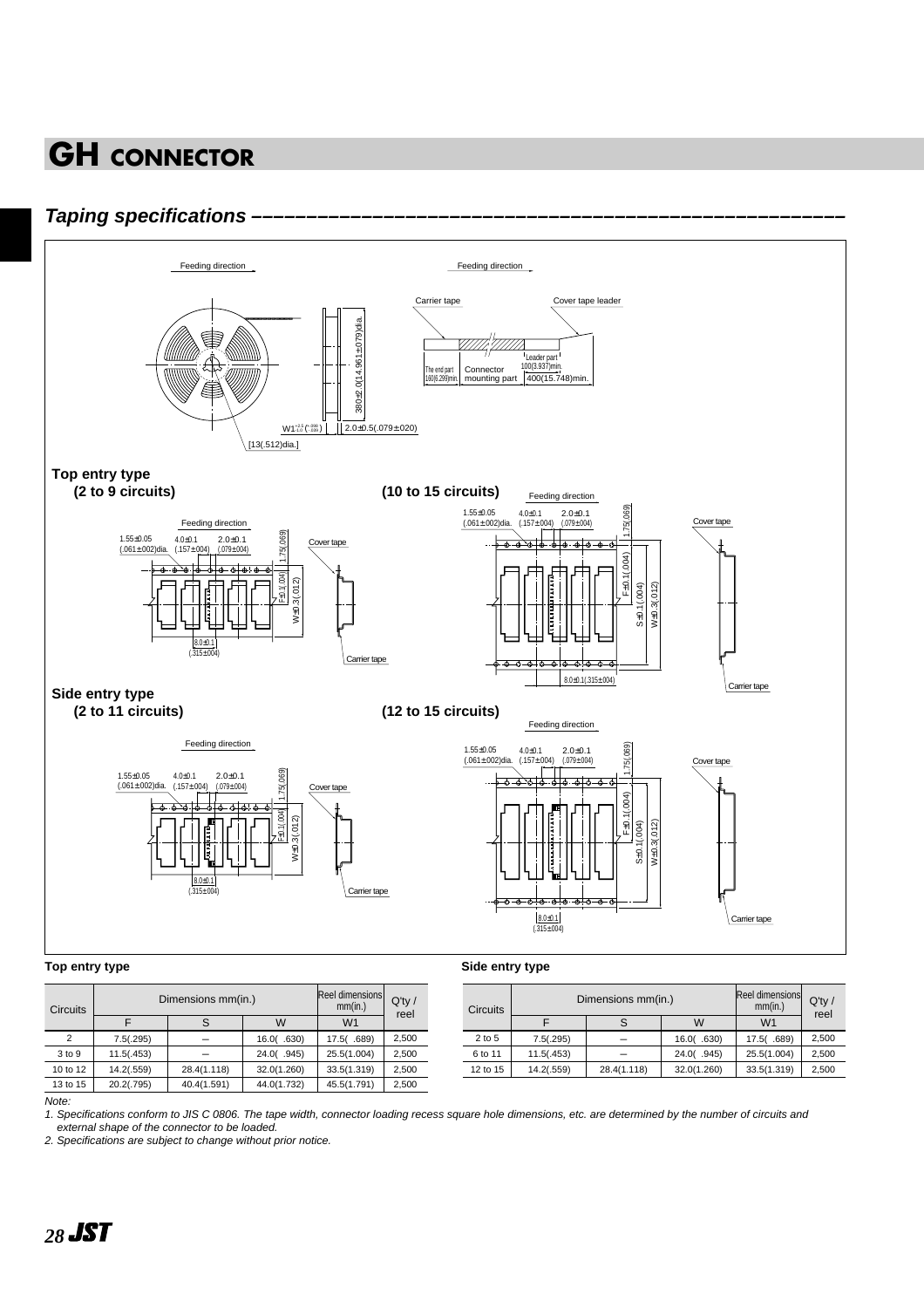#### **Taping specifications**



| <b>Circuits</b> | Dimensions mm(in.) | Reel dimensions<br>mm(in.) | $Q'$ ty /<br>reel |                |       |
|-----------------|--------------------|----------------------------|-------------------|----------------|-------|
|                 |                    | S                          | w                 | W <sub>1</sub> |       |
| $\mathcal{P}$   | 7.5(.295)          |                            | 16.0(.630)        | 17.5(.689)     | 2.500 |
| 3 to 9          | 11.5(.453)         |                            | 24.0(.945)        | 25.5(1.004)    | 2,500 |
| 10 to 12        | 14.2(.559)         | 28.4(1.118)                | 32.0(1.260)       | 33.5(1.319)    | 2,500 |
| 13 to 15        | 20.2(.795)         | 40.4(1.591)                | 44.0(1.732)       | 45.5(1.791)    | 2,500 |
| .               |                    |                            |                   |                |       |

| <b>Circuits</b> | Dimensions mm(in.) | Reel dimensions<br>mm(in.) | $Q'$ ty /<br>reel |                |       |  |
|-----------------|--------------------|----------------------------|-------------------|----------------|-------|--|
|                 |                    |                            | w                 | W <sub>1</sub> |       |  |
| 2 to 5          | 7.5(.295)          |                            | 16.0(0.630)       | 17.5(.689)     | 2,500 |  |
| 6 to 11         | 11.5(.453)         |                            | 24.0(.945)        | 25.5(1.004)    | 2,500 |  |
| 12 to 15        | 14.2(.559)         | 28.4(1.118)                | 32.0(1.260)       | 33.5(1.319)    | 2,500 |  |

Note:

1. Specifications conform to JIS C 0806. The tape width, connector loading recess square hole dimensions, etc. are determined by the number of circuits and external shape of the connector to be loaded.

2. Specifications are subject to change without prior notice.